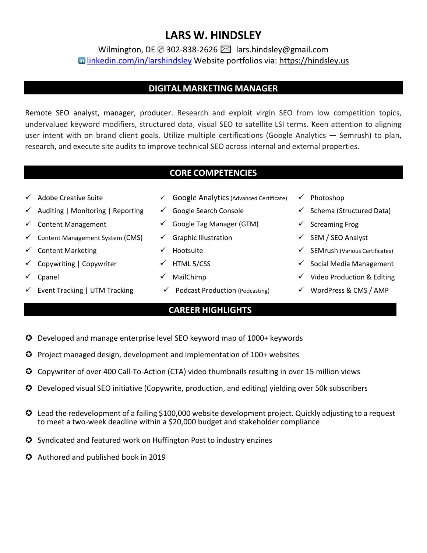## **LARS W. HINDSLEY**

Wilmington, DE  $\oslash$  302-838-2626  $\boxtimes$  lars.hindsley@gmail.com linkedin.com/in/larshindsley Website portfolios via: [https://hindsley.us](https://hindsley.us/)

### **DIGITAL MARKETING MANAGER**

Remote SEO analyst, manager, producer. Research and exploit virgin SEO from low competition topics, undervalued keyword modifiers, structured data, visual SEO to satellite LSI terms. Keen attention to aligning user intent with on brand client goals. Utilize multiple certifications (Google Analytics — Semrush) to plan, research, and execute site audits to improve technical SEO across internal and external properties.

### **CORE COMPETENCIES**

- Adobe Creative Suite
- $\checkmark$  Auditing | Monitoring | Reporting
- $\checkmark$  Content Management
- $\checkmark$  Content Management System (CMS)
- $\checkmark$  Content Marketing
- $\checkmark$  Copywriting | Copywriter
- $\checkmark$  Cpanel
- Event Tracking | UTM Tracking
- $\checkmark$  Google Analytics (Advanced Certificate)
- Google Search Console
- $\checkmark$  Google Tag Manager (GTM)
- $\checkmark$  Graphic Illustration
- $\checkmark$  Hootsuite
- $\checkmark$  HTML 5/CSS
- $\checkmark$  MailChimp
- $\checkmark$  Podcast Production (Podcasting)

### **CAREER HIGHLIGHTS**

- $\checkmark$  Photoshop
- Schema (Structured Data)
- $\checkmark$  Screaming Frog
- $\checkmark$  SEM / SEO Analyst
- $\checkmark$  SEMrush (Various Certificates)
- $\checkmark$  Social Media Management
- $\checkmark$  Video Production & Editing
- WordPress & CMS / AMP
- Developed and manage enterprise level SEO keyword map of 1000+ keywords
- $\bullet$  Project managed design, development and implementation of 100+ websites
- Copywriter of over 400 Call-To-Action (CTA) video thumbnails resulting in over 15 million views
- Developed visual SEO initiative (Copywrite, production, and editing) yielding over 50k subscribers
- Lead the redevelopment of a failing \$100,000 website development project. Quickly adjusting to a request to meet a two-week deadline within a \$20,000 budget and stakeholder compliance
- $\bullet$  Syndicated and featured work on Huffington Post to industry enzines
- **a** Authored and published book in 2019
- 
- 
- 
- 
-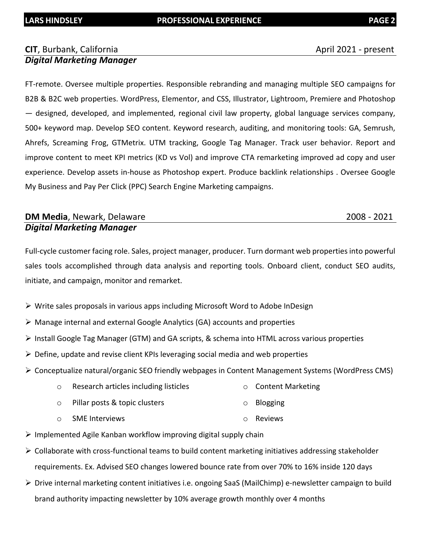# **CIT**, Burbank, California **April 2021** - present

### *Digital Marketing Manager*

FT-remote. Oversee multiple properties. Responsible rebranding and managing multiple SEO campaigns for B2B & B2C web properties. WordPress, Elementor, and CSS, Illustrator, Lightroom, Premiere and Photoshop — designed, developed, and implemented, regional civil law property, global language services company, 500+ keyword map. Develop SEO content. Keyword research, auditing, and monitoring tools: GA, Semrush, Ahrefs, Screaming Frog, GTMetrix. UTM tracking, Google Tag Manager. Track user behavior. Report and improve content to meet KPI metrics (KD vs Vol) and improve CTA remarketing improved ad copy and user experience. Develop assets in-house as Photoshop expert. Produce backlink relationships . Oversee Google My Business and Pay Per Click (PPC) Search Engine Marketing campaigns.

### **DM Media**, Newark, Delaware 2008 - 2021 *Digital Marketing Manager*

Full-cycle customer facing role. Sales, project manager, producer. Turn dormant web properties into powerful sales tools accomplished through data analysis and reporting tools. Onboard client, conduct SEO audits, initiate, and campaign, monitor and remarket.

- $\triangleright$  Write sales proposals in various apps including Microsoft Word to Adobe InDesign
- Manage internal and external Google Analytics (GA) accounts and properties
- $\triangleright$  Install Google Tag Manager (GTM) and GA scripts, & schema into HTML across various properties
- $\triangleright$  Define, update and revise client KPIs leveraging social media and web properties
- Conceptualize natural/organic SEO friendly webpages in Content Management Systems (WordPress CMS)
	- o Research articles including listicles o Content Marketing
	- o Pillar posts & topic clusters o Blogging
	- o SME Interviews o Reviews
- $\triangleright$  Implemented Agile Kanban workflow improving digital supply chain
- $\triangleright$  Collaborate with cross-functional teams to build content marketing initiatives addressing stakeholder requirements. Ex. Advised SEO changes lowered bounce rate from over 70% to 16% inside 120 days
- $\triangleright$  Drive internal marketing content initiatives i.e. ongoing SaaS (MailChimp) e-newsletter campaign to build brand authority impacting newsletter by 10% average growth monthly over 4 months